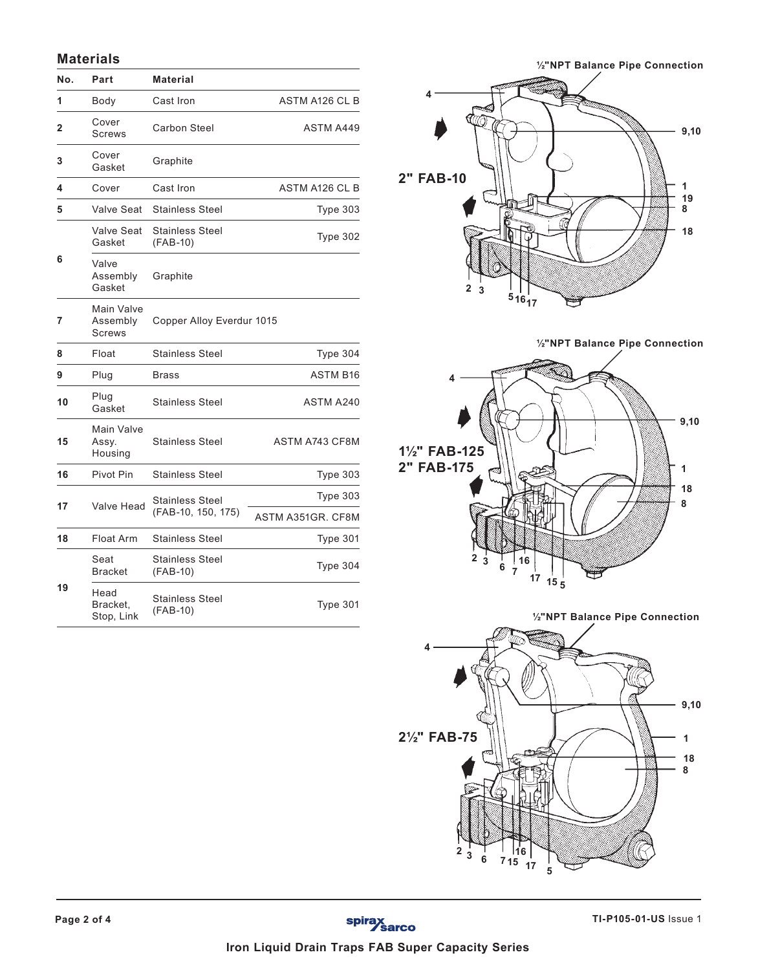## **Materials**

| No. | Part                                    | <b>Material</b>                    |                   |  |  |  |
|-----|-----------------------------------------|------------------------------------|-------------------|--|--|--|
| 1   | Body                                    | Cast Iron<br>ASTM A126 CL B        |                   |  |  |  |
| 2   | Cover<br>Screws                         | Carbon Steel<br>ASTM A449          |                   |  |  |  |
| 3   | Cover<br>Gasket                         | Graphite                           |                   |  |  |  |
| 4   | Cover                                   | <b>ASTM A126 CL B</b><br>Cast Iron |                   |  |  |  |
| 5   | Valve Seat                              | <b>Stainless Steel</b><br>Type 303 |                   |  |  |  |
| 6   | <b>Valve Seat</b><br>Gasket             | <b>Stainless Steel</b><br>(FAB-10) | Type 302          |  |  |  |
|     | Valve<br>Assembly<br>Gasket             | Graphite                           |                   |  |  |  |
| 7   | Main Valve<br>Assembly<br><b>Screws</b> | Copper Alloy Everdur 1015          |                   |  |  |  |
| 8   | Float                                   | <b>Stainless Steel</b>             | Type 304          |  |  |  |
| 9   | Plug                                    | <b>Brass</b>                       | <b>ASTM B16</b>   |  |  |  |
| 10  | Plug<br>Gasket                          | <b>Stainless Steel</b>             | ASTM A240         |  |  |  |
| 15  | <b>Main Valve</b><br>Assy.<br>Housing   | <b>Stainless Steel</b>             | ASTM A743 CF8M    |  |  |  |
| 16  | Pivot Pin                               | <b>Stainless Steel</b>             | Type 303          |  |  |  |
| 17  | Valve Head                              | <b>Stainless Steel</b>             | Type 303          |  |  |  |
|     |                                         | (FAB-10, 150, 175)                 | ASTM A351GR. CF8M |  |  |  |
| 18  | Float Arm                               | <b>Stainless Steel</b>             | Type 301          |  |  |  |
| 19  | Seat<br><b>Bracket</b>                  | <b>Stainless Steel</b><br>(FAB-10) | Type 304          |  |  |  |
|     | Head<br>Bracket,<br>Stop, Link          | Stainless Steel<br>(FAB-10)        | Type 301          |  |  |  |

**½"NPT Balance Pipe Connection**



**½"NPT Balance Pipe Connection**



**½"NPT Balance Pipe Connection**



**Page 2 of 4 TI-P105-01-US** Issue 1 **Iron Liquid Drain Traps FAB Super Capacity Series**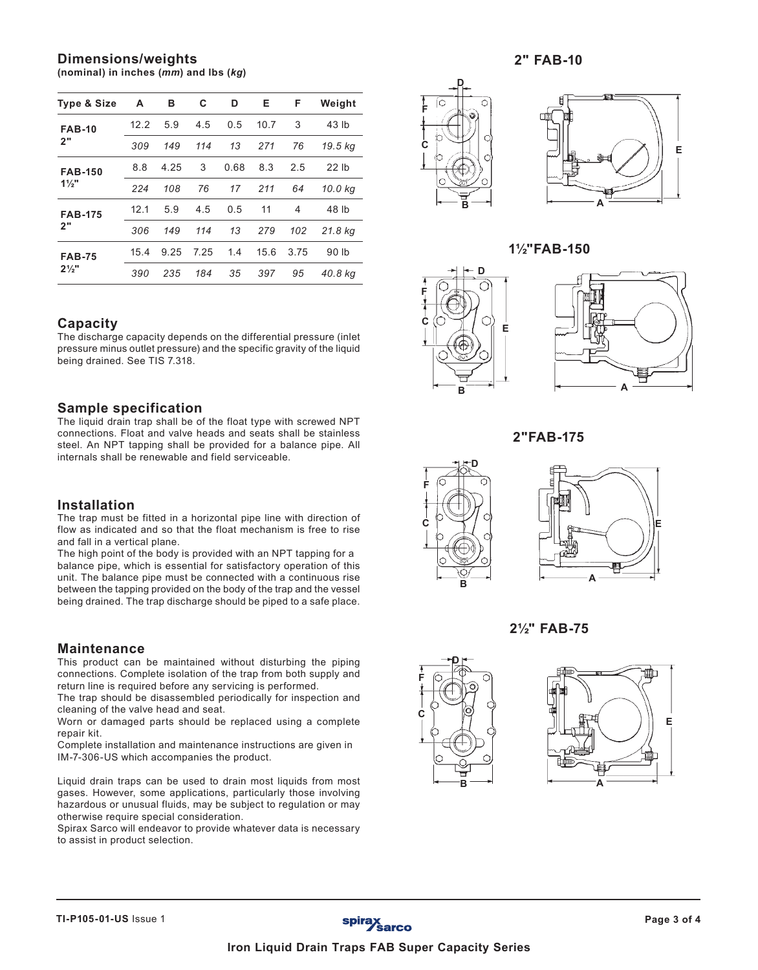#### **Dimensions/weights (nominal) in inches (***mm***) and lbs (***kg***)**

| Type & Size      | A    | в    | C    | D    | Е    | F    | Weight           |
|------------------|------|------|------|------|------|------|------------------|
| <b>FAB-10</b>    | 12.2 | 5.9  | 4.5  | 0.5  | 10.7 | 3    | 43 lb            |
| 2"               | 309  | 149  | 114  | 13   | 271  | 76   | 19.5 kg          |
| <b>FAB-150</b>   | 8.8  | 4.25 | 3    | 0.68 | 8.3  | 2.5  | 22 <sub>1b</sub> |
| $1\frac{1}{2}$   | 224  | 108  | 76   | 17   | 211  | 64   | 10.0 kg          |
| <b>FAB-175</b>   | 12.1 | 5.9  | 4.5  | 0.5  | 11   | 4    | 48 lb            |
| 2"               | 306  | 149  | 114  | 13   | 279  | 102  | 21.8 kg          |
| <b>FAB-75</b>    | 15.4 | 9.25 | 7.25 | 1.4  | 15.6 | 3.75 | 90 lb            |
| $2\frac{1}{2}$ " | 390  | 235  | 184  | 35   | 397  | 95   | 40.8 kg          |

### **Capacity**

The discharge capacity depends on the differential pressure (inlet pressure minus outlet pressure) and the specific gravity of the liquid being drained. See TIS 7.318.

#### **Sample specification**

The liquid drain trap shall be of the float type with screwed NPT connections. Float and valve heads and seats shall be stainless steel. An NPT tapping shall be provided for a balance pipe. All internals shall be renewable and field serviceable.

#### **Installation**

The trap must be fitted in a horizontal pipe line with direction of flow as indicated and so that the float mechanism is free to rise and fall in a vertical plane.

The high point of the body is provided with an NPT tapping for a balance pipe, which is essential for satisfactory operation of this unit. The balance pipe must be connected with a continuous rise between the tapping provided on the body of the trap and the vessel being drained. The trap discharge should be piped to a safe place.

#### **Maintenance**

This product can be maintained without disturbing the piping connections. Complete isolation of the trap from both supply and return line is required before any servicing is performed.

The trap should be disassembled periodically for inspection and cleaning of the valve head and seat.

Worn or damaged parts should be replaced using a complete repair kit.

Complete installation and maintenance instructions are given in IM-7-306-US which accompanies the product.

Liquid drain traps can be used to drain most liquids from most gases. However, some applications, particularly those involving hazardous or unusual fluids, may be subject to regulation or may otherwise require special consideration.

Spirax Sarco will endeavor to provide whatever data is necessary to assist in product selection.

**2" FAB-10**





**1½"FAB-150**





**2"FAB-175**





**2½" FAB-75**